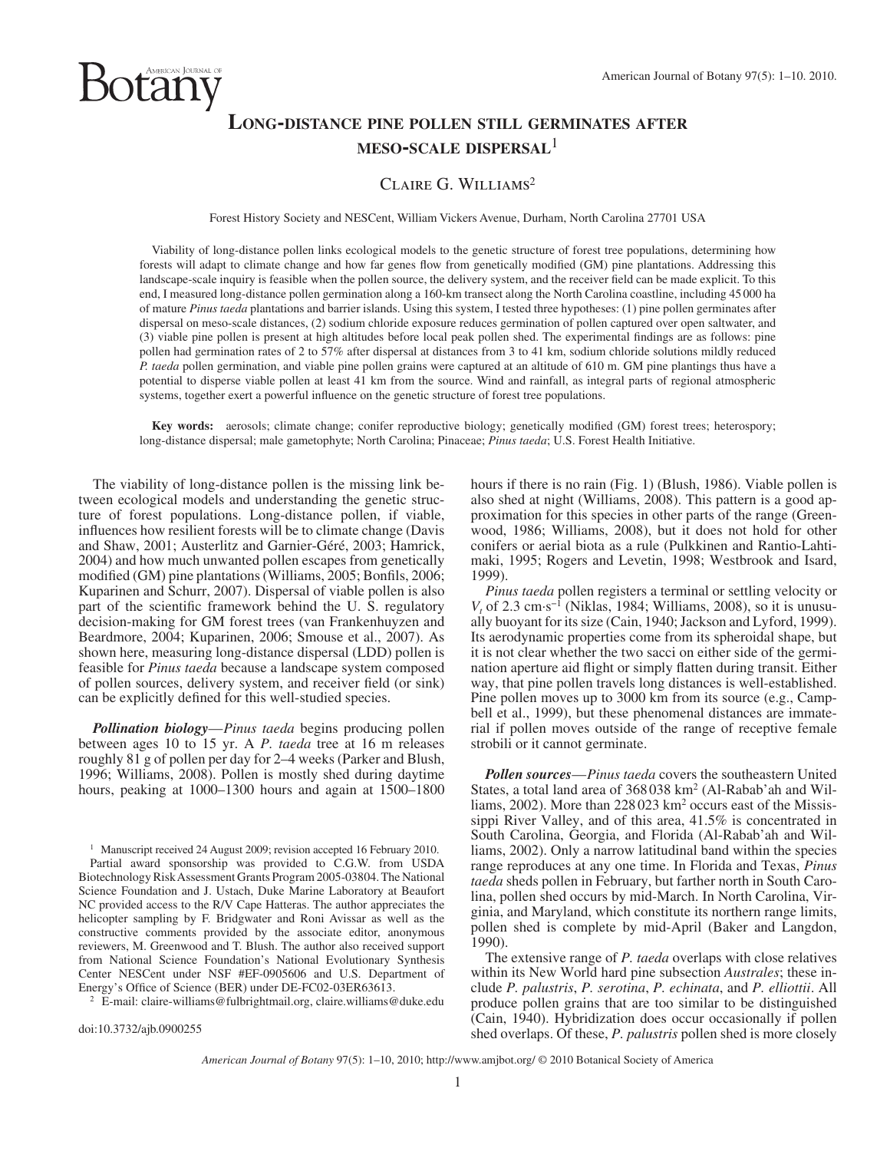# **LONG-DISTANCE PINE POLLEN STILL GERMINATES AFTER MESO-SCALE DISPERSAL**<sup>1</sup>

## CLAIRE G. WILLIAMS<sup>2</sup>

Forest History Society and NESCent, William Vickers Avenue, Durham, North Carolina 27701 USA

 Viability of long-distance pollen links ecological models to the genetic structure of forest tree populations, determining how forests will adapt to climate change and how far genes flow from genetically modified (GM) pine plantations. Addressing this landscape-scale inquiry is feasible when the pollen source, the delivery system, and the receiver field can be made explicit. To this end, I measured long-distance pollen germination along a 160-km transect along the North Carolina coastline, including 45 000 ha of mature *Pinus taeda* plantations and barrier islands. Using this system, I tested three hypotheses: (1) pine pollen germinates after dispersal on meso-scale distances, (2) sodium chloride exposure reduces germination of pollen captured over open saltwater, and (3) viable pine pollen is present at high altitudes before local peak pollen shed. The experimental findings are as follows: pine pollen had germination rates of 2 to 57% after dispersal at distances from 3 to 41 km, sodium chloride solutions mildly reduced *P. taeda* pollen germination, and viable pine pollen grains were captured at an altitude of 610 m. GM pine plantings thus have a potential to disperse viable pollen at least 41 km from the source. Wind and rainfall, as integral parts of regional atmospheric systems, together exert a powerful influence on the genetic structure of forest tree populations.

**Key words:** aerosols; climate change; conifer reproductive biology; genetically modified (GM) forest trees; heterospory; long-distance dispersal; male gametophyte; North Carolina; Pinaceae; *Pinus taeda* ; U.S. Forest Health Initiative.

 The viability of long-distance pollen is the missing link between ecological models and understanding the genetic structure of forest populations. Long-distance pollen, if viable, influences how resilient forests will be to climate change (Davis and Shaw, 2001; Austerlitz and Garnier-Géré, 2003; Hamrick, 2004) and how much unwanted pollen escapes from genetically modified (GM) pine plantations (Williams, 2005; Bonfils, 2006; Kuparinen and Schurr, 2007). Dispersal of viable pollen is also part of the scientific framework behind the U.S. regulatory decision-making for GM forest trees ( van Frankenhuyzen and Beardmore, 2004; Kuparinen, 2006; Smouse et al., 2007). As shown here, measuring long-distance dispersal (LDD) pollen is feasible for *Pinus taeda* because a landscape system composed of pollen sources, delivery system, and receiver field (or sink) can be explicitly defined for this well-studied species.

 $\mathop{\rm U}\nolimits$  AMERICAN JOURNAL OF

*Pollination biology* —*Pinus taeda* begins producing pollen between ages 10 to 15 yr. A *P. taeda* tree at 16 m releases roughly 81 g of pollen per day for 2-4 weeks (Parker and Blush, 1996; Williams, 2008). Pollen is mostly shed during daytime hours, peaking at  $1000-1300$  hours and again at  $1500-1800$ 

<sup>1</sup> Manuscript received 24 August 2009; revision accepted 16 February 2010. Partial award sponsorship was provided to C.G.W. from USDA Biotechnology Risk Assessment Grants Program 2005-03804. The National Science Foundation and J. Ustach, Duke Marine Laboratory at Beaufort NC provided access to the R/V Cape Hatteras. The author appreciates the helicopter sampling by F. Bridgwater and Roni Avissar as well as the constructive comments provided by the associate editor, anonymous reviewers, M. Greenwood and T. Blush. The author also received support from National Science Foundation's National Evolutionary Synthesis Center NESCent under NSF #EF-0905606 and U.S. Department of Energy's Office of Science (BER) under DE-FC02-03ER63613.<br><sup>2</sup> E-mail: claire-williams@fulbrightmail.org, claire.williams@duke.edu

doi:10.3732/ajb.0900255

hours if there is no rain (Fig. 1) (Blush, 1986). Viable pollen is also shed at night (Williams, 2008). This pattern is a good approximation for this species in other parts of the range (Greenwood, 1986; Williams, 2008), but it does not hold for other conifers or aerial biota as a rule (Pulkkinen and Rantio-Lahtimaki, 1995; Rogers and Levetin, 1998; Westbrook and Isard, 1999).

*Pinus taeda* pollen registers a terminal or settling velocity or  $V_t$  of 2.3 cm·s<sup>-1</sup> (Niklas, 1984; Williams, 2008), so it is unusually buoyant for its size (Cain, 1940; Jackson and Lyford, 1999). Its aerodynamic properties come from its spheroidal shape, but it is not clear whether the two sacci on either side of the germination aperture aid flight or simply flatten during transit. Either way, that pine pollen travels long distances is well-established. Pine pollen moves up to 3000 km from its source (e.g., Campbell et al., 1999), but these phenomenal distances are immaterial if pollen moves outside of the range of receptive female strobili or it cannot germinate.

*Pollen sources* —*Pinus taeda* covers the southeastern United States, a total land area of 368 038 km<sup>2</sup> (Al-Rabab' ah and Williams, 2002). More than 228 023 km<sup>2</sup> occurs east of the Mississippi River Valley, and of this area, 41.5% is concentrated in South Carolina, Georgia, and Florida (Al-Rabab'ah and Williams, 2002). Only a narrow latitudinal band within the species range reproduces at any one time. In Florida and Texas, *Pinus taeda* sheds pollen in February, but farther north in South Carolina, pollen shed occurs by mid-March. In North Carolina, Virginia, and Maryland, which constitute its northern range limits, pollen shed is complete by mid-April (Baker and Langdon, 1990).

 The extensive range of *P. taeda* overlaps with close relatives within its New World hard pine subsection *Australes*; these include *P. palustris* , *P. serotina* , *P. echinata* , and *P. elliottii* . All produce pollen grains that are too similar to be distinguished (Cain, 1940). Hybridization does occur occasionally if pollen shed overlaps. Of these, *P. palustris* pollen shed is more closely

*American Journal of Botany* 97(5): 1–10, 2010; http://www.amjbot.org/ © 2010 Botanical Society of America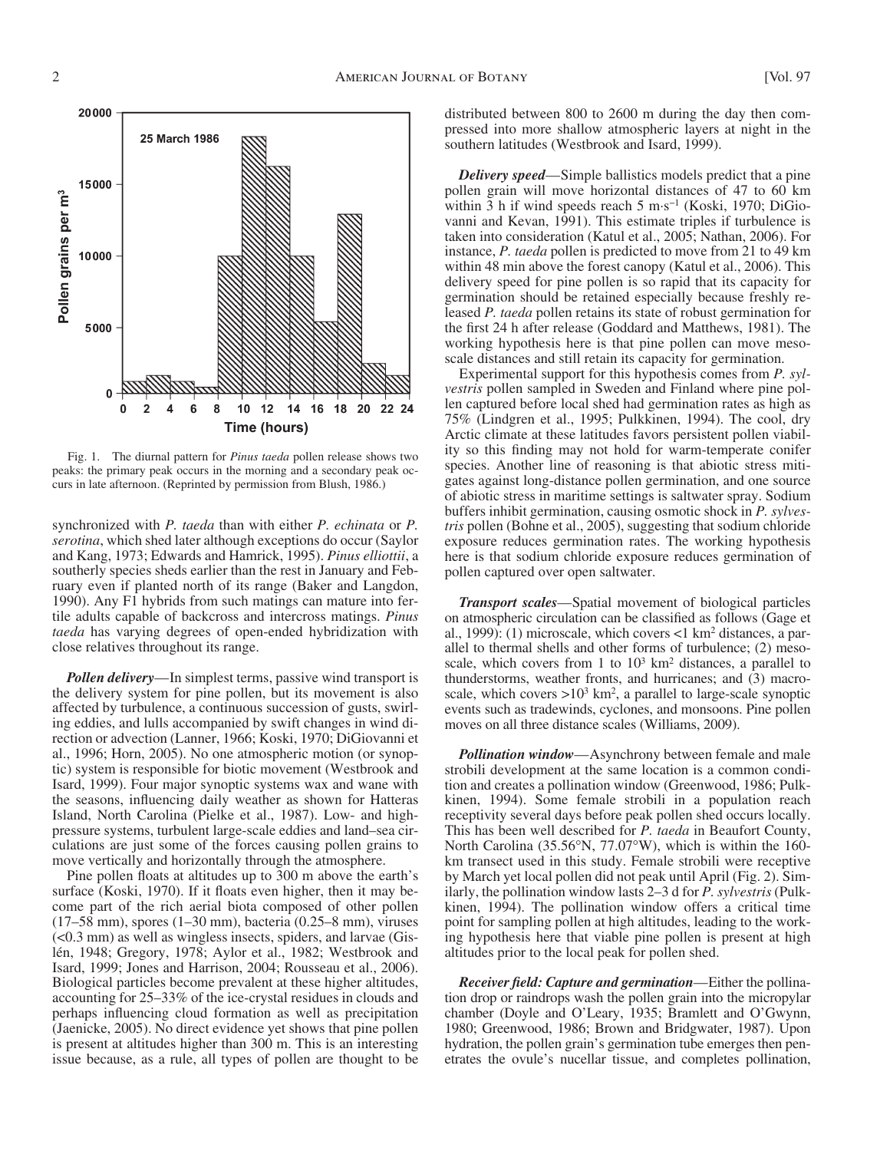

 Fig. 1. The diurnal pattern for *Pinus taeda* pollen release shows two peaks: the primary peak occurs in the morning and a secondary peak occurs in late afternoon. (Reprinted by permission from Blush, 1986.)

synchronized with *P. taeda* than with either *P. echinata* or *P. serotina*, which shed later although exceptions do occur (Saylor and Kang, 1973 ; Edwards and Hamrick, 1995 ). *Pinus elliottii* , a southerly species sheds earlier than the rest in January and February even if planted north of its range (Baker and Langdon, 1990). Any F1 hybrids from such matings can mature into fertile adults capable of backcross and intercross matings. *Pinus taeda* has varying degrees of open-ended hybridization with close relatives throughout its range.

*Pollen delivery*—In simplest terms, passive wind transport is the delivery system for pine pollen, but its movement is also affected by turbulence, a continuous succession of gusts, swirling eddies, and lulls accompanied by swift changes in wind direction or advection (Lanner, 1966; Koski, 1970; DiGiovanni et al., 1996; Horn, 2005). No one atmospheric motion (or synoptic) system is responsible for biotic movement ( Westbrook and Isard, 1999 ). Four major synoptic systems wax and wane with the seasons, influencing daily weather as shown for Hatteras Island, North Carolina (Pielke et al., 1987). Low- and highpressure systems, turbulent large-scale eddies and land – sea circulations are just some of the forces causing pollen grains to move vertically and horizontally through the atmosphere.

Pine pollen floats at altitudes up to 300 m above the earth's surface (Koski, 1970). If it floats even higher, then it may become part of the rich aerial biota composed of other pollen (17–58 mm), spores (1–30 mm), bacteria (0.25–8 mm), viruses  $(< 0.3$  mm) as well as wingless insects, spiders, and larvae (Gislén, 1948; Gregory, 1978; Aylor et al., 1982; Westbrook and Isard, 1999; Jones and Harrison, 2004; Rousseau et al., 2006). Biological particles become prevalent at these higher altitudes, accounting for 25-33% of the ice-crystal residues in clouds and perhaps influencing cloud formation as well as precipitation (Jaenicke, 2005). No direct evidence yet shows that pine pollen is present at altitudes higher than 300 m. This is an interesting issue because, as a rule, all types of pollen are thought to be

distributed between 800 to 2600 m during the day then compressed into more shallow atmospheric layers at night in the southern latitudes (Westbrook and Isard, 1999).

*Delivery speed* — Simple ballistics models predict that a pine pollen grain will move horizontal distances of 47 to 60 km within 3 h if wind speeds reach 5 m·s<sup>-1</sup> (Koski, 1970; DiGiovanni and Kevan, 1991). This estimate triples if turbulence is taken into consideration (Katul et al., 2005; Nathan, 2006). For instance, *P. taeda* pollen is predicted to move from 21 to 49 km within 48 min above the forest canopy (Katul et al., 2006). This delivery speed for pine pollen is so rapid that its capacity for germination should be retained especially because freshly released *P. taeda* pollen retains its state of robust germination for the first 24 h after release (Goddard and Matthews, 1981). The working hypothesis here is that pine pollen can move mesoscale distances and still retain its capacity for germination.

 Experimental support for this hypothesis comes from *P. sylvestris* pollen sampled in Sweden and Finland where pine pollen captured before local shed had germination rates as high as 75% (Lindgren et al., 1995; Pulkkinen, 1994). The cool, dry Arctic climate at these latitudes favors persistent pollen viability so this finding may not hold for warm-temperate conifer species. Another line of reasoning is that abiotic stress mitigates against long-distance pollen germination, and one source of abiotic stress in maritime settings is saltwater spray. Sodium buffers inhibit germination, causing osmotic shock in *P. sylvestris* pollen (Bohne et al., 2005), suggesting that sodium chloride exposure reduces germination rates. The working hypothesis here is that sodium chloride exposure reduces germination of pollen captured over open saltwater.

*Transport scales* — Spatial movement of biological particles on atmospheric circulation can be classified as follows (Gage et al., 1999): (1) microscale, which covers  $\langle$ 1 km<sup>2</sup> distances, a parallel to thermal shells and other forms of turbulence; (2) mesoscale, which covers from 1 to  $10<sup>3</sup>$  km<sup>2</sup> distances, a parallel to thunderstorms, weather fronts, and hurricanes; and (3) macroscale, which covers  $>10^3$  km<sup>2</sup>, a parallel to large-scale synoptic events such as tradewinds, cyclones, and monsoons. Pine pollen moves on all three distance scales (Williams, 2009).

*Pollination window*—Asynchrony between female and male strobili development at the same location is a common condition and creates a pollination window (Greenwood, 1986; Pulkkinen, 1994). Some female strobili in a population reach receptivity several days before peak pollen shed occurs locally. This has been well described for *P. taeda* in Beaufort County, North Carolina (35.56 $\degree$ N, 77.07 $\degree$ W), which is within the 160km transect used in this study. Female strobili were receptive by March yet local pollen did not peak until April (Fig. 2). Similarly, the pollination window lasts 2–3 d for *P. sylvestris* (Pulkkinen, 1994). The pollination window offers a critical time point for sampling pollen at high altitudes, leading to the working hypothesis here that viable pine pollen is present at high altitudes prior to the local peak for pollen shed.

*Receiver field: Capture and germination*—Either the pollination drop or raindrops wash the pollen grain into the micropylar chamber (Doyle and O'Leary, 1935; Bramlett and O'Gwynn, 1980; Greenwood, 1986; Brown and Bridgwater, 1987). Upon hydration, the pollen grain's germination tube emerges then penetrates the ovule's nucellar tissue, and completes pollination,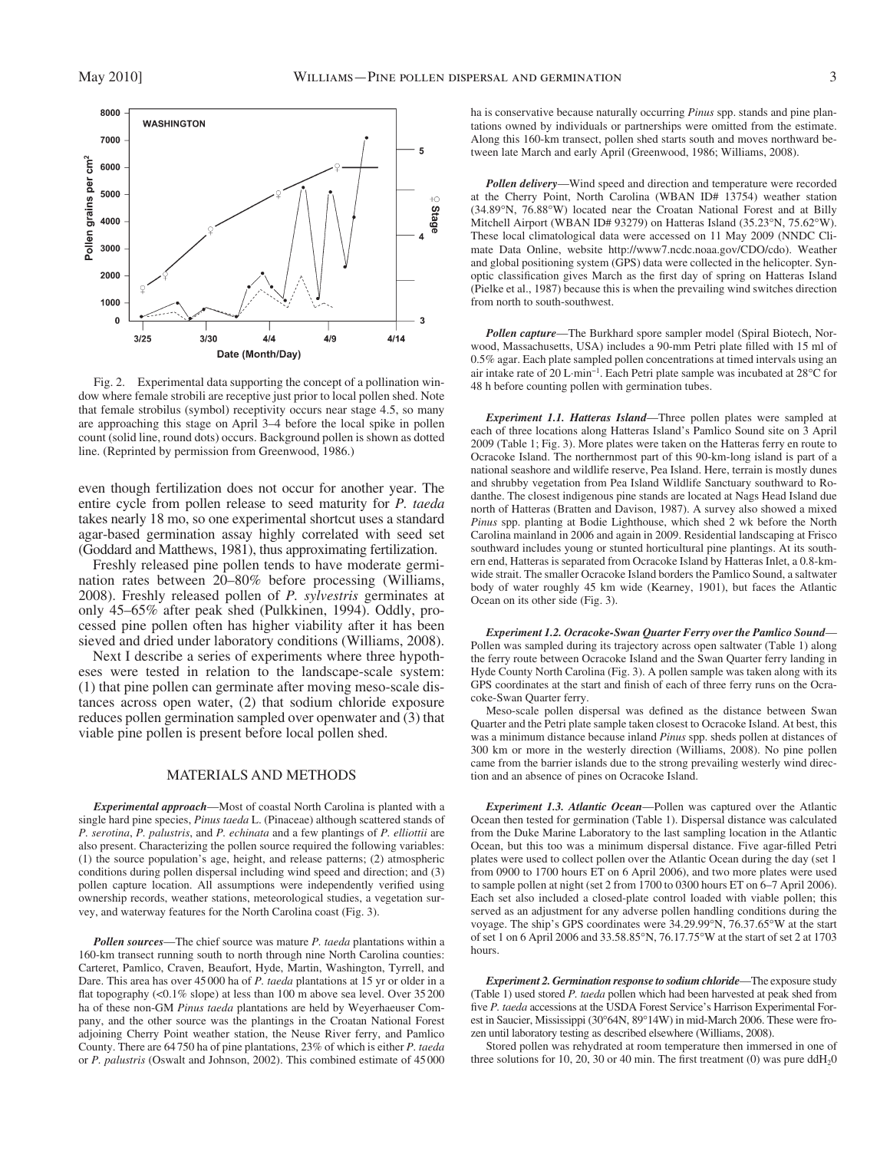

 Fig. 2. Experimental data supporting the concept of a pollination window where female strobili are receptive just prior to local pollen shed. Note that female strobilus (symbol) receptivity occurs near stage 4.5, so many are approaching this stage on April 3-4 before the local spike in pollen count (solid line, round dots) occurs. Background pollen is shown as dotted line. (Reprinted by permission from Greenwood, 1986.)

even though fertilization does not occur for another year. The entire cycle from pollen release to seed maturity for *P. taeda* takes nearly 18 mo, so one experimental shortcut uses a standard agar-based germination assay highly correlated with seed set ( Goddard and Matthews, 1981 ), thus approximating fertilization.

 Freshly released pine pollen tends to have moderate germination rates between 20–80% before processing (Williams, 2008 ). Freshly released pollen of *P. sylvestris* germinates at only 45–65% after peak shed (Pulkkinen, 1994). Oddly, processed pine pollen often has higher viability after it has been sieved and dried under laboratory conditions (Williams, 2008).

 Next I describe a series of experiments where three hypotheses were tested in relation to the landscape-scale system: (1) that pine pollen can germinate after moving meso-scale distances across open water, (2) that sodium chloride exposure reduces pollen germination sampled over openwater and (3) that viable pine pollen is present before local pollen shed.

### MATERIALS AND METHODS

*Experimental approach* — Most of coastal North Carolina is planted with a single hard pine species, *Pinus taeda* L. (Pinaceae) although scattered stands of *P. serotina* , *P. palustris* , and *P. echinata* and a few plantings of *P. elliottii* are also present. Characterizing the pollen source required the following variables:  $(1)$  the source population's age, height, and release patterns;  $(2)$  atmospheric conditions during pollen dispersal including wind speed and direction; and (3) pollen capture location. All assumptions were independently verified using ownership records, weather stations, meteorological studies, a vegetation survey, and waterway features for the North Carolina coast (Fig. 3).

*Pollen sources*—The chief source was mature *P. taeda* plantations within a 160-km transect running south to north through nine North Carolina counties: Carteret, Pamlico, Craven, Beaufort, Hyde, Martin, Washington, Tyrrell, and Dare. This area has over 45 000 ha of *P. taeda* plantations at 15 yr or older in a flat topography  $\left($ <0.1% slope) at less than 100 m above sea level. Over 35200 ha of these non-GM *Pinus taeda* plantations are held by Weyerhaeuser Company, and the other source was the plantings in the Croatan National Forest adjoining Cherry Point weather station, the Neuse River ferry, and Pamlico County. There are 64 750 ha of pine plantations, 23% of which is either *P. taeda* or *P. palustris* (Oswalt and Johnson, 2002). This combined estimate of 45000

ha is conservative because naturally occurring *Pinus* spp. stands and pine plantations owned by individuals or partnerships were omitted from the estimate. Along this 160-km transect, pollen shed starts south and moves northward between late March and early April (Greenwood, 1986; Williams, 2008).

**Pollen delivery—Wind speed and direction and temperature were recorded** at the Cherry Point, North Carolina (WBAN ID# 13754) weather station (34.89°N, 76.88°W) located near the Croatan National Forest and at Billy Mitchell Airport (WBAN ID# 93279) on Hatteras Island (35.23 $\degree$ N, 75.62 $\degree$ W). These local climatological data were accessed on 11 May 2009 (NNDC Climate Data Online, website http://www7.ncdc.noaa.gov/CDO/cdo). Weather and global positioning system (GPS) data were collected in the helicopter. Synoptic classification gives March as the first day of spring on Hatteras Island ( Pielke et al., 1987 ) because this is when the prevailing wind switches direction from north to south-southwest.

Pollen capture-The Burkhard spore sampler model (Spiral Biotech, Norwood, Massachusetts, USA) includes a 90-mm Petri plate filled with 15 ml of 0.5% agar. Each plate sampled pollen concentrations at timed intervals using an air intake rate of 20 L·min<sup>-1</sup>. Each Petri plate sample was incubated at 28°C for 48 h before counting pollen with germination tubes.

*Experiment 1.1. Hatteras Island*—Three pollen plates were sampled at each of three locations along Hatteras Island's Pamlico Sound site on 3 April 2009 (Table 1; Fig. 3). More plates were taken on the Hatteras ferry en route to Ocracoke Island. The northernmost part of this 90-km-long island is part of a national seashore and wildlife reserve, Pea Island. Here, terrain is mostly dunes and shrubby vegetation from Pea Island Wildlife Sanctuary southward to Rodanthe. The closest indigenous pine stands are located at Nags Head Island due north of Hatteras (Bratten and Davison, 1987). A survey also showed a mixed *Pinus* spp. planting at Bodie Lighthouse, which shed 2 wk before the North Carolina mainland in 2006 and again in 2009. Residential landscaping at Frisco southward includes young or stunted horticultural pine plantings. At its southern end, Hatteras is separated from Ocracoke Island by Hatteras Inlet, a 0.8-kmwide strait. The smaller Ocracoke Island borders the Pamlico Sound, a saltwater body of water roughly 45 km wide (Kearney, 1901), but faces the Atlantic Ocean on its other side (Fig. 3).

*Experiment 1.2. Ocracoke-Swan Quarter Ferry over the Pamlico Sound-*Pollen was sampled during its trajectory across open saltwater (Table 1) along the ferry route between Ocracoke Island and the Swan Quarter ferry landing in Hyde County North Carolina (Fig. 3). A pollen sample was taken along with its GPS coordinates at the start and finish of each of three ferry runs on the Ocracoke-Swan Quarter ferry.

Meso-scale pollen dispersal was defined as the distance between Swan Quarter and the Petri plate sample taken closest to Ocracoke Island. At best, this was a minimum distance because inland *Pinus* spp. sheds pollen at distances of 300 km or more in the westerly direction (Williams, 2008). No pine pollen came from the barrier islands due to the strong prevailing westerly wind direction and an absence of pines on Ocracoke Island.

*Experiment 1.3. Atlantic Ocean* — Pollen was captured over the Atlantic Ocean then tested for germination (Table 1). Dispersal distance was calculated from the Duke Marine Laboratory to the last sampling location in the Atlantic Ocean, but this too was a minimum dispersal distance. Five agar-filled Petri plates were used to collect pollen over the Atlantic Ocean during the day (set 1 from 0900 to 1700 hours ET on 6 April 2006), and two more plates were used to sample pollen at night (set 2 from 1700 to 0300 hours ET on 6-7 April 2006). Each set also included a closed-plate control loaded with viable pollen; this served as an adjustment for any adverse pollen handling conditions during the voyage. The ship's GPS coordinates were 34.29.99°N, 76.37.65°W at the start of set 1 on 6 April 2006 and 33.58.85 ° N, 76.17.75 ° W at the start of set 2 at 1703 hours.

*Experiment 2. Germination response to sodium chloride* — The exposure study (Table 1) used stored *P. taeda* pollen which had been harvested at peak shed from five *P. taeda* accessions at the USDA Forest Service's Harrison Experimental Forest in Saucier, Mississippi (30°64N, 89°14W) in mid-March 2006. These were frozen until laboratory testing as described elsewhere (Williams, 2008).

 Stored pollen was rehydrated at room temperature then immersed in one of three solutions for 10, 20, 30 or 40 min. The first treatment (0) was pure  $ddH<sub>2</sub>0$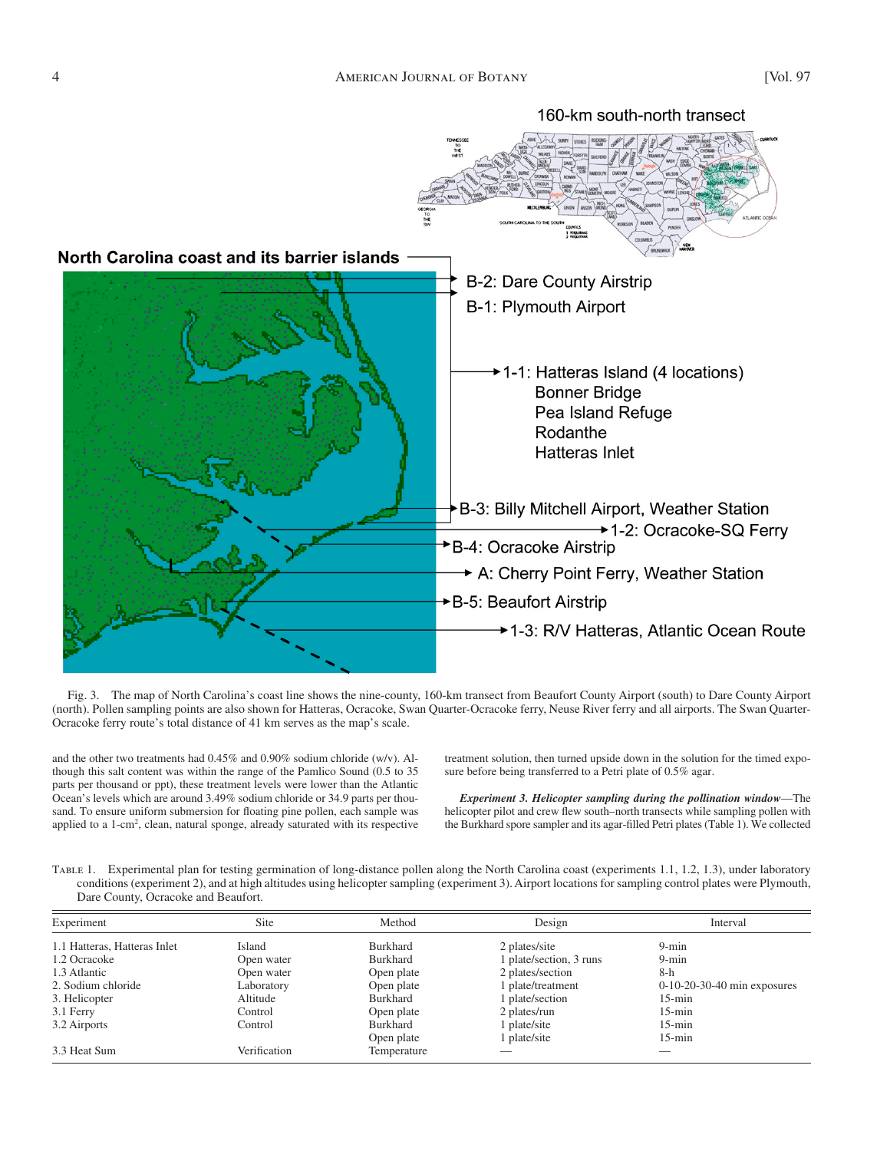

Fig. 3. The map of North Carolina's coast line shows the nine-county, 160-km transect from Beaufort County Airport (south) to Dare County Airport (north). Pollen sampling points are also shown for Hatteras, Ocracoke, Swan Quarter-Ocracoke ferry, Neuse River ferry and all airports. The Swan Quarter-Ocracoke ferry route's total distance of 41 km serves as the map's scale.

and the other two treatments had 0.45% and 0.90% sodium chloride (w/v). Although this salt content was within the range of the Pamlico Sound (0.5 to 35 parts per thousand or ppt), these treatment levels were lower than the Atlantic Ocean's levels which are around 3.49% sodium chloride or 34.9 parts per thousand. To ensure uniform submersion for floating pine pollen, each sample was applied to a 1-cm<sup>2</sup>, clean, natural sponge, already saturated with its respective

treatment solution, then turned upside down in the solution for the timed exposure before being transferred to a Petri plate of 0.5% agar.

*Experiment 3. Helicopter sampling during the pollination window*—The helicopter pilot and crew flew south-north transects while sampling pollen with the Burkhard spore sampler and its agar-filled Petri plates (Table 1). We collected

Table 1. Experimental plan for testing germination of long-distance pollen along the North Carolina coast (experiments 1.1, 1.2, 1.3), under laboratory conditions (experiment 2), and at high altitudes using helicopter sampling (experiment 3). Airport locations for sampling control plates were Plymouth, Dare County, Ocracoke and Beaufort.

| Experiment                   | <b>Site</b>  | Method      | Design                  | Interval                      |
|------------------------------|--------------|-------------|-------------------------|-------------------------------|
| 1.1 Hatteras, Hatteras Inlet | Island       | Burkhard    | 2 plates/site           | $9 - min$                     |
| 1.2 Ocracoke                 | Open water   | Burkhard    | l plate/section, 3 runs | $9 - min$                     |
| 1.3 Atlantic                 | Open water   | Open plate  | 2 plates/section        | $8-h$                         |
| 2. Sodium chloride           | Laboratory   | Open plate  | plate/treatment         | $0-10-20-30-40$ min exposures |
| 3. Helicopter                | Altitude     | Burkhard    | plate/section           | $15$ -min                     |
| 3.1 Ferry                    | Control      | Open plate  | 2 plates/run            | $15$ -min                     |
| 3.2 Airports                 | Control      | Burkhard    | plate/site              | $15$ -min                     |
|                              |              | Open plate  | plate/site              | $15$ -min                     |
| 3.3 Heat Sum                 | Verification | Temperature |                         | __                            |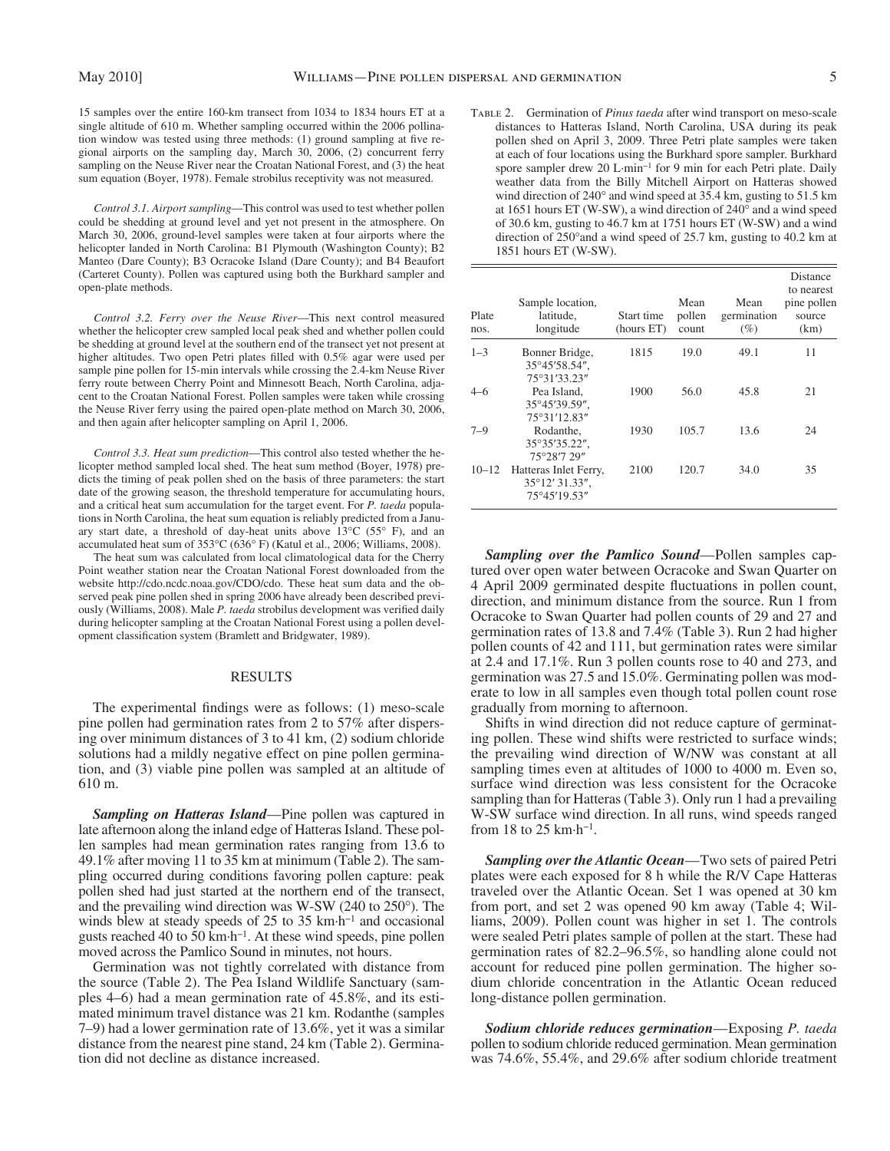15 samples over the entire 160-km transect from 1034 to 1834 hours ET at a single altitude of 610 m. Whether sampling occurred within the 2006 pollination window was tested using three methods: (1) ground sampling at five regional airports on the sampling day, March 30, 2006, (2) concurrent ferry sampling on the Neuse River near the Croatan National Forest, and (3) the heat sum equation (Boyer, 1978). Female strobilus receptivity was not measured.

Control 3.1. Airport sampling-This control was used to test whether pollen could be shedding at ground level and yet not present in the atmosphere. On March 30, 2006, ground-level samples were taken at four airports where the helicopter landed in North Carolina: B1 Plymouth (Washington County); B2 Manteo (Dare County); B3 Ocracoke Island (Dare County); and B4 Beaufort (Carteret County). Pollen was captured using both the Burkhard sampler and open-plate methods.

Control 3.2. Ferry over the Neuse River-This next control measured whether the helicopter crew sampled local peak shed and whether pollen could be shedding at ground level at the southern end of the transect yet not present at higher altitudes. Two open Petri plates filled with 0.5% agar were used per sample pine pollen for 15-min intervals while crossing the 2.4-km Neuse River ferry route between Cherry Point and Minnesott Beach, North Carolina, adjacent to the Croatan National Forest. Pollen samples were taken while crossing the Neuse River ferry using the paired open-plate method on March 30, 2006, and then again after helicopter sampling on April 1, 2006.

*Control 3.3. Heat sum prediction*—This control also tested whether the helicopter method sampled local shed. The heat sum method (Boyer, 1978) predicts the timing of peak pollen shed on the basis of three parameters: the start date of the growing season, the threshold temperature for accumulating hours, and a critical heat sum accumulation for the target event. For *P. taeda* populations in North Carolina, the heat sum equation is reliably predicted from a January start date, a threshold of day-heat units above  $13^{\circ}$ C (55° F), and an accumulated heat sum of 353°C (636° F) (Katul et al., 2006; Williams, 2008).

 The heat sum was calculated from local climatological data for the Cherry Point weather station near the Croatan National Forest downloaded from the website http://cdo.ncdc.noaa.gov/CDO/cdo. These heat sum data and the observed peak pine pollen shed in spring 2006 have already been described previously (Williams, 2008). Male *P. taeda* strobilus development was verified daily during helicopter sampling at the Croatan National Forest using a pollen development classification system (Bramlett and Bridgwater, 1989).

#### RESULTS

The experimental findings were as follows:  $(1)$  meso-scale pine pollen had germination rates from 2 to 57% after dispersing over minimum distances of 3 to 41 km, (2) sodium chloride solutions had a mildly negative effect on pine pollen germination, and (3) viable pine pollen was sampled at an altitude of 610 m.

Sampling on Hatteras Island-Pine pollen was captured in late afternoon along the inland edge of Hatteras Island. These pollen samples had mean germination rates ranging from 13.6 to 49.1% after moving 11 to 35 km at minimum (Table 2). The sampling occurred during conditions favoring pollen capture: peak pollen shed had just started at the northern end of the transect, and the prevailing wind direction was W-SW  $(240 \text{ to } 250^{\circ})$ . The winds blew at steady speeds of 25 to 35 km $\cdot$ h<sup>-1</sup> and occasional gusts reached 40 to 50 km $\cdot$ h<sup>-1</sup>. At these wind speeds, pine pollen moved across the Pamlico Sound in minutes, not hours.

 Germination was not tightly correlated with distance from the source (Table 2). The Pea Island Wildlife Sanctuary (samples 4–6) had a mean germination rate of 45.8%, and its estimated minimum travel distance was 21 km. Rodanthe (samples 7–9) had a lower germination rate of 13.6%, yet it was a similar distance from the nearest pine stand, 24 km (Table 2). Germination did not decline as distance increased.

 Table 2. Germination of *Pinus taeda* after wind transport on meso-scale distances to Hatteras Island, North Carolina, USA during its peak pollen shed on April 3, 2009. Three Petri plate samples were taken at each of four locations using the Burkhard spore sampler. Burkhard spore sampler drew 20 L·min<sup>-1</sup> for 9 min for each Petri plate. Daily weather data from the Billy Mitchell Airport on Hatteras showed wind direction of  $240^{\circ}$  and wind speed at 35.4 km, gusting to 51.5 km at 1651 hours ET (W-SW), a wind direction of  $240^\circ$  and a wind speed of 30.6 km, gusting to 46.7 km at 1751 hours ET (W-SW) and a wind direction of 250° and a wind speed of 25.7 km, gusting to 40.2 km at 1851 hours ET (W-SW).

| Plate<br>nos. | Sample location,<br>latitude,<br>longitude              | Start time<br>(hours ET) | Mean<br>pollen<br>count | Mean<br>germination<br>$(\%)$ | Distance<br>to nearest<br>pine pollen<br>source<br>(km) |
|---------------|---------------------------------------------------------|--------------------------|-------------------------|-------------------------------|---------------------------------------------------------|
| $1 - 3$       | Bonner Bridge,<br>35°45'58.54".<br>75°31'33.23"         | 1815                     | 19.0                    | 49.1                          | 11                                                      |
| $4 - 6$       | Pea Island.<br>35°45'39.59".<br>75°31'12.83"            | 1900                     | 56.0                    | 45.8                          | 21                                                      |
| $7 - 9$       | Rodanthe.<br>35°35'35.22",<br>75°28'7 29"               | 1930                     | 105.7                   | 13.6                          | 24                                                      |
| $10 - 12$     | Hatteras Inlet Ferry,<br>35°12′ 31.33″.<br>75°45'19.53" | 2100                     | 120.7                   | 34.0                          | 35                                                      |

**Sampling over the Pamlico Sound—Pollen samples cap**tured over open water between Ocracoke and Swan Quarter on 4 April 2009 germinated despite fluctuations in pollen count, direction, and minimum distance from the source. Run 1 from Ocracoke to Swan Quarter had pollen counts of 29 and 27 and germination rates of 13.8 and 7.4% (Table 3). Run 2 had higher pollen counts of 42 and 111, but germination rates were similar at 2.4 and 17.1%. Run 3 pollen counts rose to 40 and 273, and germination was 27.5 and 15.0%. Germinating pollen was moderate to low in all samples even though total pollen count rose gradually from morning to afternoon.

 Shifts in wind direction did not reduce capture of germinating pollen. These wind shifts were restricted to surface winds; the prevailing wind direction of W/NW was constant at all sampling times even at altitudes of 1000 to 4000 m. Even so, surface wind direction was less consistent for the Ocracoke sampling than for Hatteras (Table 3). Only run 1 had a prevailing W-SW surface wind direction. In all runs, wind speeds ranged from 18 to 25  $km \cdot h^{-1}$ .

Sampling over the Atlantic Ocean-Two sets of paired Petri plates were each exposed for 8 h while the R/V Cape Hatteras traveled over the Atlantic Ocean. Set 1 was opened at 30 km from port, and set 2 was opened 90 km away (Table 4; Williams, 2009). Pollen count was higher in set 1. The controls were sealed Petri plates sample of pollen at the start. These had germination rates of 82.2–96.5%, so handling alone could not account for reduced pine pollen germination. The higher sodium chloride concentration in the Atlantic Ocean reduced long-distance pollen germination.

*Sodium chloride reduces germination* — Exposing *P. taeda* pollen to sodium chloride reduced germination. Mean germination was 74.6%, 55.4%, and 29.6% after sodium chloride treatment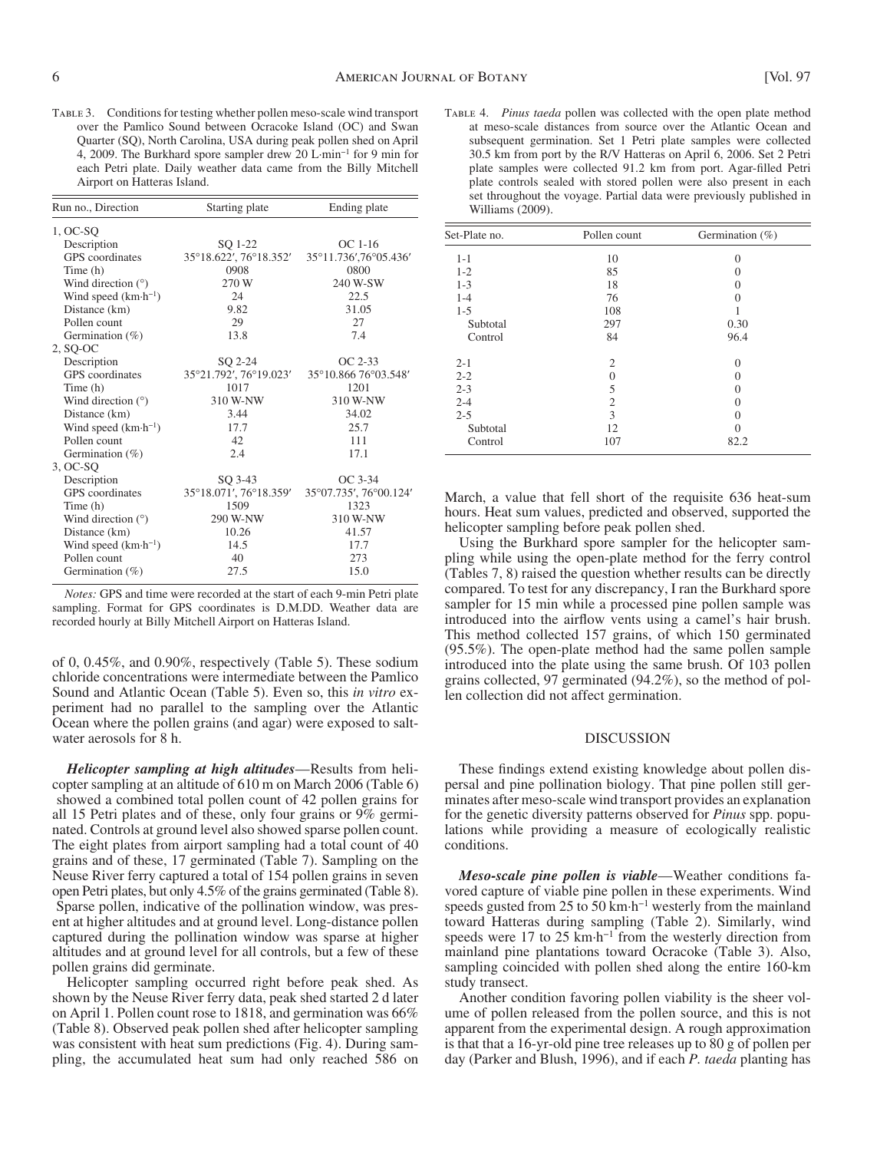Table 3. Conditions for testing whether pollen meso-scale wind transport over the Pamlico Sound between Ocracoke Island (OC) and Swan Quarter (SQ), North Carolina, USA during peak pollen shed on April 4, 2009. The Burkhard spore sampler drew 20 L·min<sup>-1</sup> for 9 min for each Petri plate. Daily weather data came from the Billy Mitchell Airport on Hatteras Island.

| Run no., Direction               | Starting plate         | Ending plate           |  |
|----------------------------------|------------------------|------------------------|--|
| $1, OC-SQ$                       |                        |                        |  |
| Description                      | SO 1-22                | $OC$ 1-16              |  |
| <b>GPS</b> coordinates           | 35°18.622′, 76°18.352′ | 35°11.736',76°05.436'  |  |
| Time (h)                         | 0908                   | 0800                   |  |
| Wind direction $(°)$             | 270 W                  | 240 W-SW               |  |
| Wind speed $(km \cdot h^{-1})$   | 24                     | 22.5                   |  |
| Distance (km)                    | 9.82                   | 31.05                  |  |
| Pollen count                     | 29                     | 27                     |  |
| Germination (%)                  | 13.8                   | 7.4                    |  |
| $2, SO-OC$                       |                        |                        |  |
| Description                      | SO 2-24                | $OC 2-33$              |  |
| <b>GPS</b> coordinates           | 35°21.792′, 76°19.023′ | 35°10.866 76°03.548'   |  |
| Time (h)                         | 1017                   | 1201                   |  |
| Wind direction $(°)$             | 310 W-NW               | 310 W-NW               |  |
| Distance (km)                    | 3.44                   | 34.02                  |  |
| Wind speed (km·h <sup>-1</sup> ) | 17.7                   | 25.7                   |  |
| Pollen count                     | 42                     | 111                    |  |
| Germination $(\%)$               | 2.4                    | 17.1                   |  |
| 3, OC-SO                         |                        |                        |  |
| Description                      | SQ 3-43                | OC 3-34                |  |
| <b>GPS</b> coordinates           | 35°18.071', 76°18.359' | 35°07.735', 76°00.124' |  |
| Time (h)                         | 1509                   | 1323                   |  |
| Wind direction $(°)$             | 290 W-NW               | 310 W-NW               |  |
| Distance (km)                    | 10.26                  | 41.57                  |  |
| Wind speed $(km \cdot h^{-1})$   | 14.5                   | 17.7                   |  |
| Pollen count                     | 40                     | 273                    |  |
| Germination $(\%)$               | 27.5                   | 15.0                   |  |

*Notes:* GPS and time were recorded at the start of each 9-min Petri plate sampling. Format for GPS coordinates is D.M.DD. Weather data are recorded hourly at Billy Mitchell Airport on Hatteras Island.

of 0,  $0.45\%$ , and  $0.90\%$ , respectively (Table 5). These sodium chloride concentrations were intermediate between the Pamlico Sound and Atlantic Ocean (Table 5). Even so, this *in vitro* experiment had no parallel to the sampling over the Atlantic Ocean where the pollen grains (and agar) were exposed to saltwater aerosols for 8 h.

*Helicopter sampling at high altitudes*—Results from helicopter sampling at an altitude of 610 m on March 2006 (Table 6) showed a combined total pollen count of 42 pollen grains for all 15 Petri plates and of these, only four grains or 9% germinated. Controls at ground level also showed sparse pollen count. The eight plates from airport sampling had a total count of 40 grains and of these, 17 germinated (Table 7). Sampling on the Neuse River ferry captured a total of 154 pollen grains in seven open Petri plates, but only 4.5% of the grains germinated (Table 8). Sparse pollen, indicative of the pollination window, was present at higher altitudes and at ground level. Long-distance pollen captured during the pollination window was sparse at higher altitudes and at ground level for all controls, but a few of these pollen grains did germinate.

 Helicopter sampling occurred right before peak shed. As shown by the Neuse River ferry data, peak shed started 2 d later on April 1. Pollen count rose to 1818, and germination was 66% (Table 8). Observed peak pollen shed after helicopter sampling was consistent with heat sum predictions (Fig. 4). During sampling, the accumulated heat sum had only reached 586 on

 Table 4. *Pinus taeda* pollen was collected with the open plate method at meso-scale distances from source over the Atlantic Ocean and subsequent germination. Set 1 Petri plate samples were collected 30.5 km from port by the R/V Hatteras on April 6, 2006. Set 2 Petri plate samples were collected 91.2 km from port. Agar-filled Petri plate controls sealed with stored pollen were also present in each set throughout the voyage. Partial data were previously published in Williams (2009).

| Set-Plate no. | Pollen count   | Germination $(\% )$ |
|---------------|----------------|---------------------|
| $1 - 1$       | 10             | $\Omega$            |
| $1 - 2$       | 85             | 0                   |
| $1 - 3$       | 18             | 0                   |
| $1 - 4$       | 76             | 0                   |
| $1 - 5$       | 108            |                     |
| Subtotal      | 297            | 0.30                |
| Control       | 84             | 96.4                |
| $2 - 1$       | $\overline{2}$ | $\Omega$            |
| $2 - 2$       | 0              | 0                   |
| $2 - 3$       | 5              | 0                   |
| $2 - 4$       | $\overline{2}$ | 0                   |
| $2 - 5$       | 3              | 0                   |
| Subtotal      | 12             | 0                   |
| Control       | 107            | 82.2                |

March, a value that fell short of the requisite 636 heat-sum hours. Heat sum values, predicted and observed, supported the helicopter sampling before peak pollen shed.

 Using the Burkhard spore sampler for the helicopter sampling while using the open-plate method for the ferry control  $(Tables 7, 8)$  raised the question whether results can be directly compared. To test for any discrepancy, I ran the Burkhard spore sampler for 15 min while a processed pine pollen sample was introduced into the airflow vents using a camel's hair brush. This method collected 157 grains, of which 150 germinated (95.5%). The open-plate method had the same pollen sample introduced into the plate using the same brush. Of 103 pollen grains collected, 97 germinated (94.2%), so the method of pollen collection did not affect germination.

#### DISCUSSION

These findings extend existing knowledge about pollen dispersal and pine pollination biology. That pine pollen still germinates after meso-scale wind transport provides an explanation for the genetic diversity patterns observed for *Pinus* spp. populations while providing a measure of ecologically realistic conditions.

*Meso-scale pine pollen is viable*—Weather conditions favored capture of viable pine pollen in these experiments. Wind speeds gusted from 25 to 50  $km \cdot h^{-1}$  westerly from the mainland toward Hatteras during sampling (Table 2). Similarly, wind speeds were 17 to 25  $km \cdot h^{-1}$  from the westerly direction from mainland pine plantations toward Ocracoke (Table 3). Also, sampling coincided with pollen shed along the entire 160-km study transect.

 Another condition favoring pollen viability is the sheer volume of pollen released from the pollen source, and this is not apparent from the experimental design. A rough approximation is that that a 16-yr-old pine tree releases up to 80 g of pollen per day (Parker and Blush, 1996), and if each *P. taeda* planting has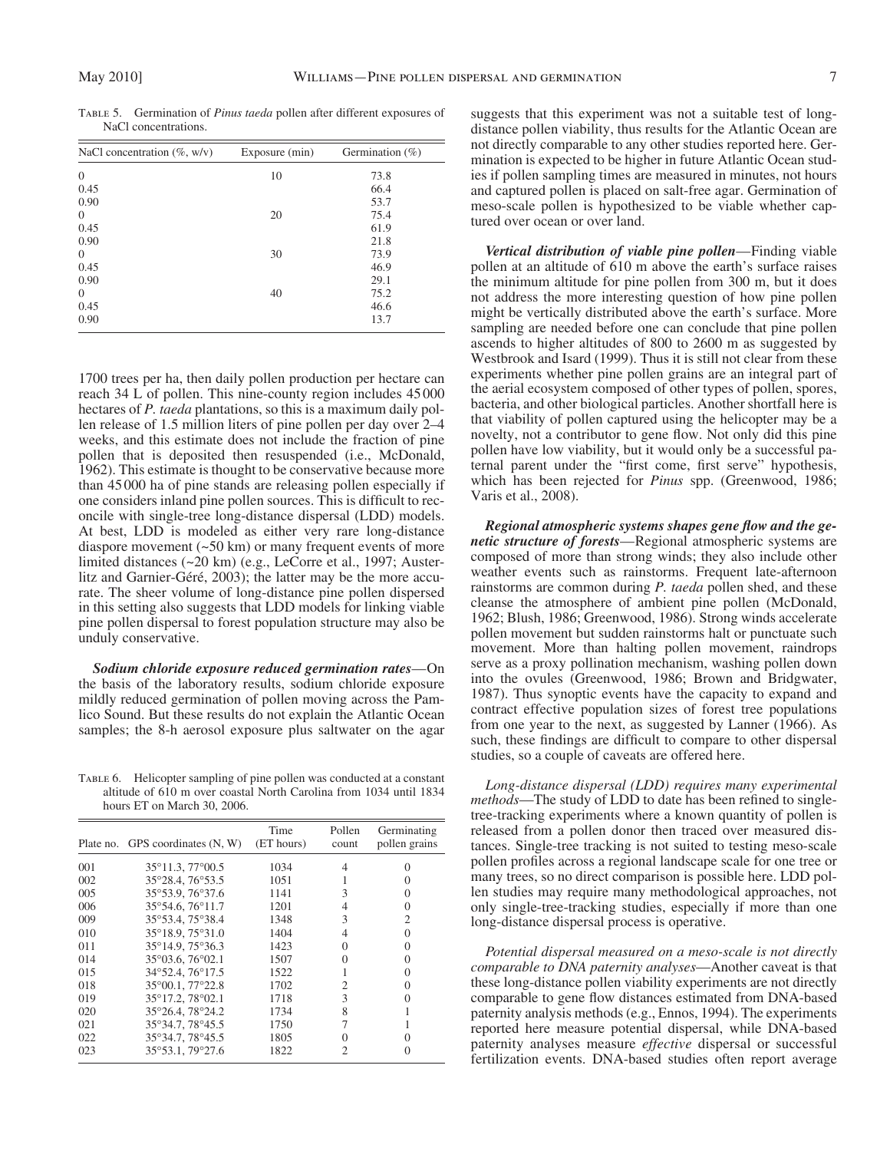Table 5. Germination of *Pinus taeda* pollen after different exposures of NaCl concentrations.

| NaCl concentration $(\% , w/v)$ | Exposure (min) | Germination $(\%)$ |
|---------------------------------|----------------|--------------------|
| $\theta$                        | 10             | 73.8               |
| 0.45                            |                | 66.4               |
| 0.90                            |                | 53.7               |
| $\theta$                        | 20             | 75.4               |
| 0.45                            |                | 61.9               |
| 0.90                            |                | 21.8               |
| $\theta$                        | 30             | 73.9               |
| 0.45                            |                | 46.9               |
| 0.90                            |                | 29.1               |
| $\theta$                        | 40             | 75.2               |
| 0.45                            |                | 46.6               |
| 0.90                            |                | 13.7               |

1700 trees per ha, then daily pollen production per hectare can reach 34 L of pollen. This nine-county region includes 45 000 hectares of *P. taeda* plantations, so this is a maximum daily pollen release of 1.5 million liters of pine pollen per day over 2–4 weeks, and this estimate does not include the fraction of pine pollen that is deposited then resuspended (i.e., McDonald, 1962). This estimate is thought to be conservative because more than 45 000 ha of pine stands are releasing pollen especially if one considers inland pine pollen sources. This is difficult to reconcile with single-tree long-distance dispersal (LDD) models. At best, LDD is modeled as either very rare long-distance diaspore movement  $(\sim 50 \text{ km})$  or many frequent events of more limited distances (~20 km) (e.g., LeCorre et al., 1997; Austerlitz and Garnier-Géré, 2003); the latter may be the more accurate. The sheer volume of long-distance pine pollen dispersed in this setting also suggests that LDD models for linking viable pine pollen dispersal to forest population structure may also be unduly conservative.

*Sodium chloride exposure reduced germination rates* — On the basis of the laboratory results, sodium chloride exposure mildly reduced germination of pollen moving across the Pamlico Sound. But these results do not explain the Atlantic Ocean samples; the 8-h aerosol exposure plus saltwater on the agar

TABLE 6. Helicopter sampling of pine pollen was conducted at a constant altitude of 610 m over coastal North Carolina from 1034 until 1834 hours ET on March 30, 2006.

|     | Plate no. GPS coordinates (N, W) | Time<br>(ET hours) | Pollen<br>count | Germinating<br>pollen grains |
|-----|----------------------------------|--------------------|-----------------|------------------------------|
| 001 | 35°11.3, 77°00.5                 | 1034               | 4               |                              |
| 002 | 35°28.4, 76°53.5                 | 1051               |                 |                              |
| 005 | 35°53.9, 76°37.6                 | 1141               | 3               |                              |
| 006 | 35°54.6, 76°11.7                 | 1201               | 4               | 0                            |
| 009 | 35°53.4, 75°38.4                 | 1348               | 3               | 2                            |
| 010 | 35°18.9, 75°31.0                 | 1404               | 4               | 0                            |
| 011 | 35°14.9.75°36.3                  | 1423               | $\Omega$        |                              |
| 014 | 35°03.6, 76°02.1                 | 1507               | 0               |                              |
| 015 | 34°52.4, 76°17.5                 | 1522               |                 |                              |
| 018 | 35°00.1, 77°22.8                 | 1702               | $\overline{c}$  |                              |
| 019 | 35°17.2, 78°02.1                 | 1718               | 3               |                              |
| 020 | 35°26.4, 78°24.2                 | 1734               | 8               |                              |
| 021 | 35°34.7, 78°45.5                 | 1750               |                 |                              |
| 022 | 35°34.7, 78°45.5                 | 1805               | 0               |                              |
| 023 | 35°53.1, 79°27.6                 | 1822               | 2               |                              |

suggests that this experiment was not a suitable test of longdistance pollen viability, thus results for the Atlantic Ocean are not directly comparable to any other studies reported here. Germination is expected to be higher in future Atlantic Ocean studies if pollen sampling times are measured in minutes, not hours and captured pollen is placed on salt-free agar. Germination of meso-scale pollen is hypothesized to be viable whether captured over ocean or over land.

*Vertical distribution of viable pine pollen* — Finding viable pollen at an altitude of 610 m above the earth's surface raises the minimum altitude for pine pollen from 300 m, but it does not address the more interesting question of how pine pollen might be vertically distributed above the earth's surface. More sampling are needed before one can conclude that pine pollen ascends to higher altitudes of 800 to 2600 m as suggested by Westbrook and Isard (1999). Thus it is still not clear from these experiments whether pine pollen grains are an integral part of the aerial ecosystem composed of other types of pollen, spores, bacteria, and other biological particles. Another shortfall here is that viability of pollen captured using the helicopter may be a novelty, not a contributor to gene flow. Not only did this pine pollen have low viability, but it would only be a successful paternal parent under the "first come, first serve" hypothesis, which has been rejected for *Pinus* spp. (Greenwood, 1986; Varis et al., 2008).

Regional atmospheric systems shapes gene flow and the ge*netic structure of forests* — Regional atmospheric systems are composed of more than strong winds; they also include other weather events such as rainstorms. Frequent late-afternoon rainstorms are common during *P. taeda* pollen shed, and these cleanse the atmosphere of ambient pine pollen ( McDonald, 1962; Blush, 1986; Greenwood, 1986). Strong winds accelerate pollen movement but sudden rainstorms halt or punctuate such movement. More than halting pollen movement, raindrops serve as a proxy pollination mechanism, washing pollen down into the ovules (Greenwood, 1986; Brown and Bridgwater, 1987). Thus synoptic events have the capacity to expand and contract effective population sizes of forest tree populations from one year to the next, as suggested by Lanner (1966). As such, these findings are difficult to compare to other dispersal studies, so a couple of caveats are offered here.

*Long-distance dispersal (LDD) requires many experimental methods*—The study of LDD to date has been refined to singletree-tracking experiments where a known quantity of pollen is released from a pollen donor then traced over measured distances. Single-tree tracking is not suited to testing meso-scale pollen profiles across a regional landscape scale for one tree or many trees, so no direct comparison is possible here. LDD pollen studies may require many methodological approaches, not only single-tree-tracking studies, especially if more than one long-distance dispersal process is operative.

*Potential dispersal measured on a meso-scale is not directly comparable to DNA paternity analyses* — Another caveat is that these long-distance pollen viability experiments are not directly comparable to gene flow distances estimated from DNA-based paternity analysis methods (e.g., Ennos, 1994). The experiments reported here measure potential dispersal, while DNA-based paternity analyses measure *effective* dispersal or successful fertilization events. DNA-based studies often report average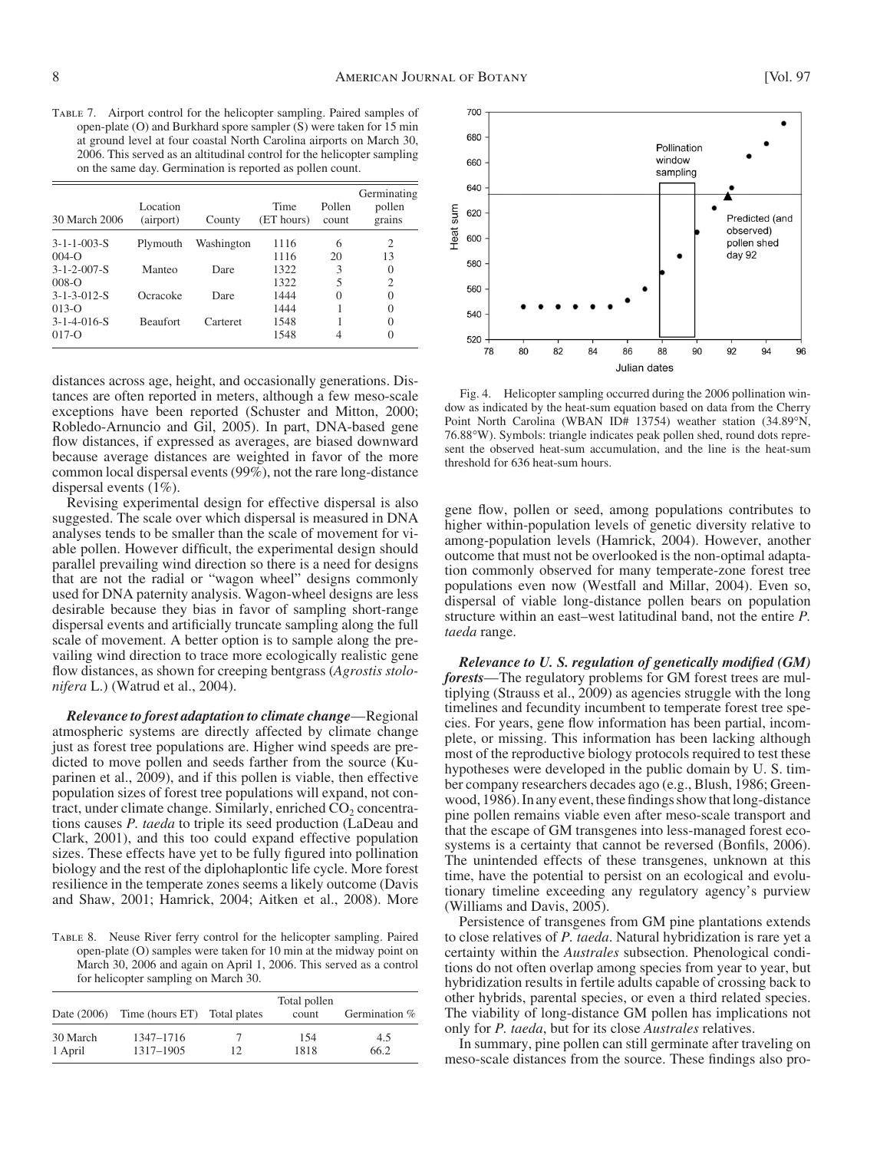Table 7. Airport control for the helicopter sampling. Paired samples of open-plate (O) and Burkhard spore sampler (S) were taken for 15 min at ground level at four coastal North Carolina airports on March 30, 2006. This served as an altitudinal control for the helicopter sampling on the same day. Germination is reported as pollen count.

| 30 March 2006                      | Location<br>(airport) | County     | Time<br>(ET hours) | Pollen<br>count | Germinating<br>pollen<br>grains |
|------------------------------------|-----------------------|------------|--------------------|-----------------|---------------------------------|
| $3 - 1 - 1 - 003 - S$<br>$004 - 0$ | Plymouth              | Washington | 1116<br>1116       | 6<br>20         | 2<br>13                         |
| $3 - 1 - 2 - 007 - S$<br>$008 - 0$ | Manteo                | Dare       | 1322<br>1322       | 3<br>5          | $\Omega$<br>2                   |
| $3 - 1 - 3 - 012 - S$<br>$013 - 0$ | Ocracoke              | Dare       | 1444<br>1444       | $\Omega$        | $\Omega$<br>$\Omega$            |
| $3 - 1 - 4 - 016 - S$<br>$017 - 0$ | <b>Beaufort</b>       | Carteret   | 1548<br>1548       | 4               | $\theta$<br>$\theta$            |

distances across age, height, and occasionally generations. Distances are often reported in meters, although a few meso-scale exceptions have been reported (Schuster and Mitton, 2000; Robledo-Arnuncio and Gil, 2005). In part, DNA-based gene flow distances, if expressed as averages, are biased downward because average distances are weighted in favor of the more common local dispersal events (99%), not the rare long-distance dispersal events (1%).

 Revising experimental design for effective dispersal is also suggested. The scale over which dispersal is measured in DNA analyses tends to be smaller than the scale of movement for viable pollen. However difficult, the experimental design should parallel prevailing wind direction so there is a need for designs that are not the radial or "wagon wheel" designs commonly used for DNA paternity analysis. Wagon-wheel designs are less desirable because they bias in favor of sampling short-range dispersal events and artificially truncate sampling along the full scale of movement. A better option is to sample along the prevailing wind direction to trace more ecologically realistic gene flow distances, as shown for creeping bentgrass (Agrostis stolo*nifera* L.) (Watrud et al., 2004).

*Relevance to forest adaptation to climate change* — Regional atmospheric systems are directly affected by climate change just as forest tree populations are. Higher wind speeds are predicted to move pollen and seeds farther from the source (Kuparinen et al., 2009 ), and if this pollen is viable, then effective population sizes of forest tree populations will expand, not contract, under climate change. Similarly, enriched  $CO<sub>2</sub>$  concentrations causes *P. taeda* to triple its seed production (LaDeau and Clark, 2001), and this too could expand effective population sizes. These effects have yet to be fully figured into pollination biology and the rest of the diplohaplontic life cycle. More forest resilience in the temperate zones seems a likely outcome (Davis and Shaw, 2001; Hamrick, 2004; Aitken et al., 2008). More

 Table 8. Neuse River ferry control for the helicopter sampling. Paired open-plate (O) samples were taken for 10 min at the midway point on March 30, 2006 and again on April 1, 2006. This served as a control for helicopter sampling on March 30.

| Date (2006) | Time (hours ET) Total plates |     | Total pollen<br>count | Germination % |
|-------------|------------------------------|-----|-----------------------|---------------|
| 30 March    | 1347-1716                    | 12. | 154                   | 4.5           |
| 1 April     | 1317-1905                    |     | 1818                  | 66.2          |



 Fig. 4. Helicopter sampling occurred during the 2006 pollination window as indicated by the heat-sum equation based on data from the Cherry Point North Carolina (WBAN ID# 13754) weather station (34.89°N, 76.88 ° W). Symbols: triangle indicates peak pollen shed, round dots represent the observed heat-sum accumulation, and the line is the heat-sum threshold for 636 heat-sum hours.

gene flow, pollen or seed, among populations contributes to higher within-population levels of genetic diversity relative to among-population levels (Hamrick, 2004). However, another outcome that must not be overlooked is the non-optimal adaptation commonly observed for many temperate-zone forest tree populations even now (Westfall and Millar, 2004). Even so, dispersal of viable long-distance pollen bears on population structure within an east–west latitudinal band, not the entire *P*. *taeda* range.

*Relevance to U.S. regulation of genetically modified (GM) forests* — The regulatory problems for GM forest trees are multiplying (Strauss et al., 2009) as agencies struggle with the long timelines and fecundity incumbent to temperate forest tree species. For years, gene flow information has been partial, incomplete, or missing. This information has been lacking although most of the reproductive biology protocols required to test these hypotheses were developed in the public domain by U. S. timber company researchers decades ago (e.g., Blush, 1986; Greenwood, 1986). In any event, these findings show that long-distance pine pollen remains viable even after meso-scale transport and that the escape of GM transgenes into less-managed forest ecosystems is a certainty that cannot be reversed (Bonfils, 2006). The unintended effects of these transgenes, unknown at this time, have the potential to persist on an ecological and evolutionary timeline exceeding any regulatory agency's purview ( Williams and Davis, 2005).

 Persistence of transgenes from GM pine plantations extends to close relatives of *P. taeda* . Natural hybridization is rare yet a certainty within the *Australes* subsection. Phenological conditions do not often overlap among species from year to year, but hybridization results in fertile adults capable of crossing back to other hybrids, parental species, or even a third related species. The viability of long-distance GM pollen has implications not only for *P. taeda* , but for its close *Australes* relatives.

 In summary, pine pollen can still germinate after traveling on meso-scale distances from the source. These findings also pro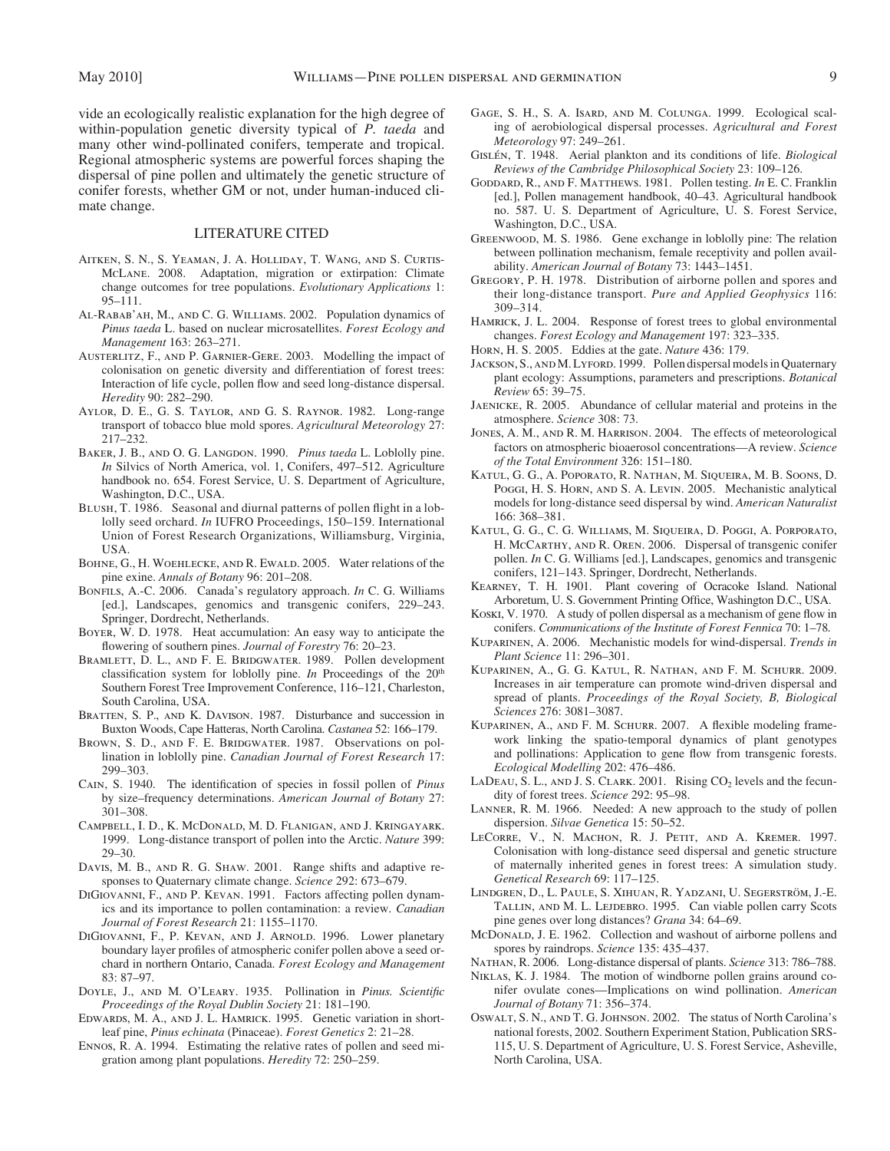vide an ecologically realistic explanation for the high degree of within-population genetic diversity typical of *P. taeda* and many other wind-pollinated conifers, temperate and tropical. Regional atmospheric systems are powerful forces shaping the dispersal of pine pollen and ultimately the genetic structure of conifer forests, whether GM or not, under human-induced climate change.

#### LITERATURE CITED

- Aitken, S. N., S. Yeaman, J. A. Holliday, T. Wang, and S. Curtis-McLane. 2008. Adaptation, migration or extirpation: Climate change outcomes for tree populations. *Evolutionary Applications* 1:  $95 - 111$ .
- AL-RABAB' AH, M., AND C. G. WILLIAMS. 2002. Population dynamics of *Pinus taeda* L. based on nuclear microsatellites. *Forest Ecology and Management* 163: 263-271.
- AUSTERLITZ, F., AND P. GARNIER-GERE. 2003. Modelling the impact of colonisation on genetic diversity and differentiation of forest trees: Interaction of life cycle, pollen flow and seed long-distance dispersal. *Heredity* 90: 282-290.
- AYLOR, D. E., G. S. TAYLOR, AND G. S. RAYNOR. 1982. Long-range transport of tobacco blue mold spores. *Agricultural Meteorology* 27 : 217 – 232.
- BAKER, J. B., AND O. G. LANGDON. 1990. *Pinus taeda* L. Loblolly pine. *In* Silvics of North America, vol. 1, Conifers, 497–512. Agriculture handbook no. 654. Forest Service, U. S. Department of Agriculture, Washington, D.C., USA.
- BLUSH, T. 1986. Seasonal and diurnal patterns of pollen flight in a loblolly seed orchard. *In* IUFRO Proceedings, 150-159. International Union of Forest Research Organizations, Williamsburg, Virginia, USA.
- BOHNE, G., H. WOEHLECKE, AND R. EWALD. 2005. Water relations of the pine exine. *Annals of Botany* 96: 201-208.
- BONFILS, A.-C. 2006. Canada's regulatory approach. *In* C. G. Williams [ed.], Landscapes, genomics and transgenic conifers, 229–243. Springer, Dordrecht, Netherlands.
- BOYER, W. D. 1978. Heat accumulation: An easy way to anticipate the flowering of southern pines. *Journal of Forestry* 76: 20-23.
- BRAMLETT, D. L., AND F. E. BRIDGWATER. 1989. Pollen development classification system for loblolly pine. *In* Proceedings of the 20<sup>th</sup> Southern Forest Tree Improvement Conference, 116-121, Charleston, South Carolina, USA.
- BRATTEN, S. P., AND K. DAVISON. 1987. Disturbance and succession in Buxton Woods, Cape Hatteras, North Carolina. *Castanea* 52: 166-179.
- BROWN, S. D., AND F. E. BRIDGWATER. 1987. Observations on pollination in loblolly pine. *Canadian Journal of Forest Research* 17 : 299 – 303.
- CAIN, S. 1940. The identification of species in fossil pollen of *Pinus* by size – frequency determinations. *American Journal of Botany* 27 :  $301 - 308$ .
- Campbell, I. D., K. McDonald, M. D. Flanigan, and J. Kringayark . 1999 . Long-distance transport of pollen into the Arctic. *Nature* 399 :  $29 - 30$
- DAVIS, M. B., AND R. G. SHAW. 2001. Range shifts and adaptive responses to Quaternary climate change. *Science* 292: 673-679.
- DIGIOVANNI, F., AND P. KEVAN. 1991. Factors affecting pollen dynamics and its importance to pollen contamination: a review. *Canadian*  Journal of Forest Research 21: 1155-1170.
- DIGIOVANNI, F., P. KEVAN, AND J. ARNOLD. 1996. Lower planetary boundary layer profiles of atmospheric conifer pollen above a seed orchard in northern Ontario, Canada. *Forest Ecology and Management* 83: 87-97.
- DOYLE, J., AND M. O'LEARY. 1935. Pollination in *Pinus. Scientific Proceedings of the Royal Dublin Society* 21: 181-190.
- EDWARDS, M. A., AND J. L. HAMRICK. 1995. Genetic variation in shortleaf pine, *Pinus echinata* (Pinaceae). *Forest Genetics* 2: 21-28.
- ENNOS, R. A. 1994. Estimating the relative rates of pollen and seed migration among plant populations. *Heredity* 72: 250–259.
- GAGE, S. H., S. A. Isard, and M. Colunga. 1999. Ecological scaling of aerobiological dispersal processes. *Agricultural and Forest Meteorology* 97: 249-261.
- GISLÉN, T. 1948. Aerial plankton and its conditions of life. *Biological Reviews of the Cambridge Philosophical Society* 23: 109-126.
- Goddard, R., and F. Matthews . 1981 . Pollen testing. *In* E. C. Franklin [ed.], Pollen management handbook, 40–43. Agricultural handbook no. 587. U. S. Department of Agriculture, U. S. Forest Service, Washington, D.C., USA.
- GREENWOOD, M. S. 1986. Gene exchange in loblolly pine: The relation between pollination mechanism, female receptivity and pollen availability. American Journal of Botany 73: 1443-1451.
- GREGORY, P. H. 1978. Distribution of airborne pollen and spores and their long-distance transport. *Pure and Applied Geophysics* 116 :  $309 - 314$ .
- HAMRICK, J. L. 2004. Response of forest trees to global environmental changes. Forest Ecology and Management 197: 323-335.
- Horn, H. S. 2005. Eddies at the gate. *Nature* 436: 179.
- JACKSON, S., AND M. LYFORD. 1999. Pollen dispersal models in Quaternary plant ecology: Assumptions, parameters and prescriptions. *Botanical Review* 65: 39-75.
- JAENICKE, R. 2005. Abundance of cellular material and proteins in the atmosphere. *Science* 308: 73.
- JONES, A. M., AND R. M. HARRISON. 2004. The effects of meteorological factors on atmospheric bioaerosol concentrations — A review. *Science*  of the Total Environment 326: 151-180.
- Katul, G. G., A. Poporato, R. Nathan, M. Siqueira, M. B. Soons, D. Poggi, H. S. Horn, AND S. A. Levin. 2005. Mechanistic analytical models for long-distance seed dispersal by wind. *American Naturalist* 166: 368-381.
- Katul, G. G., C. G. Williams, M. Siqueira, D. Poggi, A. Porporato, H. McCarthy, AND R. Oren. 2006. Dispersal of transgenic conifer pollen. *In* C. G. Williams [ed.], Landscapes, genomics and transgenic conifers, 121-143. Springer, Dordrecht, Netherlands.
- KEARNEY, T. H. 1901. Plant covering of Ocracoke Island. National Arboretum, U. S. Government Printing Office, Washington D.C., USA.
- KOSKI, V. 1970. A study of pollen dispersal as a mechanism of gene flow in conifers. *Communications of the Institute of Forest Fennica* 70: 1-78.
- KUPARINEN, A. 2006. Mechanistic models for wind-dispersal. *Trends in Plant Science* 11: 296-301.
- KUPARINEN, A., G. G. KATUL, R. NATHAN, AND F. M. SCHURR. 2009. Increases in air temperature can promote wind-driven dispersal and spread of plants. *Proceedings of the Royal Society, B, Biological Sciences* 276 : 3081 – 3087 .
- KUPARINEN, A., AND F. M. SCHURR. 2007. A flexible modeling framework linking the spatio-temporal dynamics of plant genotypes and pollinations: Application to gene flow from transgenic forests. Ecological Modelling 202: 476-486.
- LADEAU, S. L., AND J. S. CLARK. 2001. Rising  $CO<sub>2</sub>$  levels and the fecundity of forest trees. *Science* 292: 95-98.
- LANNER, R. M. 1966. Needed: A new approach to the study of pollen dispersion. *Silvae Genetica* 15: 50-52.
- LECORRE, V., N. MACHON, R. J. PETIT, AND A. KREMER. 1997. Colonisation with long-distance seed dispersal and genetic structure of maternally inherited genes in forest trees: A simulation study. *Genetical Research* 69: 117-125.
- LINDGREN, D., L. PAULE, S. XIHUAN, R. YADZANI, U. SEGERSTRÖM, J.-E. TALLIN, AND M. L. LEJDEBRO. 1995. Can viable pollen carry Scots pine genes over long distances? *Grana* 34: 64–69.
- McDonaLD, J. E. 1962. Collection and washout of airborne pollens and spores by raindrops. *Science* 135: 435-437.
- NATHAN, R. 2006. Long-distance dispersal of plants. *Science* 313: 786-788.
- NIKLAS, K. J. 1984. The motion of windborne pollen grains around conifer ovulate cones — Implications on wind pollination. *American Journal of Botany* 71: 356-374.
- OSWALT, S. N., AND T. G. JOHNSON. 2002. The status of North Carolina's national forests, 2002. Southern Experiment Station, Publication SRS-115, U. S. Department of Agriculture, U. S. Forest Service, Asheville, North Carolina, USA.